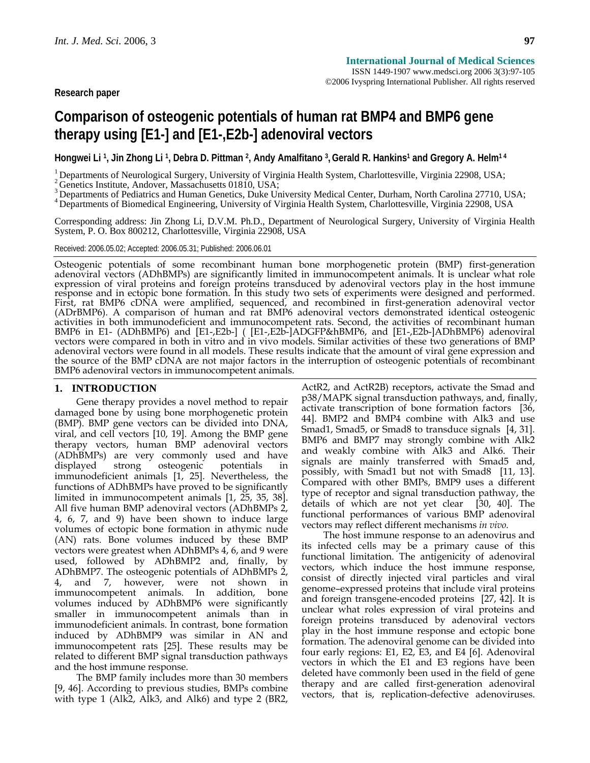# **Comparison of osteogenic potentials of human rat BMP4 and BMP6 gene therapy using [E1-] and [E1-,E2b-] adenoviral vectors**

Hongwei Li<sup>1</sup>, Jin Zhong Li<sup>1</sup>, Debra D. Pittman <sup>2</sup>, Andy Amalfitano <sup>3</sup>, Gerald R. Hankins<sup>1</sup> and Gregory A. Helm<sup>14</sup>

<sup>1</sup> Departments of Neurological Surgery, University of Virginia Health System, Charlottesville, Virginia 22908, USA;  $^2$  Genetics Institute, Andover, Massachusetts 01810, USA;

<sup>3</sup> Departments of Pediatrics and Human Genetics, Duke University Medical Center, Durham, North Carolina 27710, USA;

4 Departments of Biomedical Engineering, University of Virginia Health System, Charlottesville, Virginia 22908, USA

Corresponding address: Jin Zhong Li, D.V.M. Ph.D., Department of Neurological Surgery, University of Virginia Health System, P. O. Box 800212, Charlottesville, Virginia 22908, USA

#### Received: 2006.05.02; Accepted: 2006.05.31; Published: 2006.06.01

Osteogenic potentials of some recombinant human bone morphogenetic protein (BMP) first-generation adenoviral vectors (ADhBMPs) are significantly limited in immunocompetent animals. It is unclear what role expression of viral proteins and foreign proteins transduced by adenoviral vectors play in the host immune response and in ectopic bone formation. In this study two sets of experiments were designed and performed. First, r (ADrBMP6). A comparison of human and rat BMP6 adenoviral vectors demonstrated identical osteogenic activities in both immunodeficient and immunocompetent rats. Second, the activities of recombinant human BMP6 in E1- (ADhBMP6) and [E1-,E2b-] ( [E1-,E2b-]ADGFP&hBMP6, and [E1-,E2b-]ADhBMP6) adenoviral vectors were compared in both in vitro and in vivo models. Similar activities of these two generations of BMP adenoviral vectors were found in all models. These results indicate that the amount of viral gene expression and the source of the BMP cDNA are not major factors in the interruption of osteogenic potentials of recombinant BMP6 adenoviral vectors in immunocompetent animals.

# **1. INTRODUCTION**

Gene therapy provides a novel method to repair damaged bone by using bone morphogenetic protein (BMP). BMP gene vectors can be divided into DNA, viral, and cell vectors [10, 19]. Among the BMP gene therapy vectors, human BMP adenoviral vectors (ADhBMPs) are very commonly used and have displayed strong osteogenic potentials in displayed strong osteogenic potentials in immunodeficient animals [1, 25]. Nevertheless, the functions of ADhBMPs have proved to be significantly limited in immunocompetent animals [1, 25, 35, 38]. All five human BMP adenoviral vectors (ADhBMPs 2, 4, 6, 7, and 9) have been shown to induce large volumes of ectopic bone formation in athymic nude (AN) rats. Bone volumes induced by these BMP vectors were greatest when ADhBMPs 4, 6, and 9 were used, followed by ADhBMP2 and, finally, by ADhBMP7. The osteogenic potentials of ADhBMPs 2, 4, and 7, however, were not shown in immunocompetent animals. In addition, bone volumes induced by ADhBMP6 were significantly smaller in immunocompetent animals than in immunodeficient animals. In contrast, bone formation induced by ADhBMP9 was similar in AN and immunocompetent rats [25]. These results may be related to different BMP signal transduction pathways and the host immune response.

The BMP family includes more than 30 members [9, 46]. According to previous studies, BMPs combine with type 1 (Alk2, Alk3, and Alk6) and type 2 (BR2,

ActR2, and ActR2B) receptors, activate the Smad and p38/MAPK signal transduction pathways, and, finally, activate transcription of bone formation factors [36, 44]. BMP2 and BMP4 combine with Alk3 and use Smad1, Smad5, or Smad8 to transduce signals [4, 31]. BMP6 and BMP7 may strongly combine with Alk2 and weakly combine with Alk3 and Alk6. Their signals are mainly transferred with Smad5 and, possibly, with Smad1 but not with Smad8 [11, 13]. Compared with other BMPs, BMP9 uses a different type of receptor and signal transduction pathway, the details of which are not yet clear [30, 40]. The functional performances of various BMP adenoviral vectors may reflect different mechanisms *in vivo*.

The host immune response to an adenovirus and its infected cells may be a primary cause of this functional limitation. The antigenicity of adenoviral vectors, which induce the host immune response, consist of directly injected viral particles and viral genome–expressed proteins that include viral proteins and foreign transgene-encoded proteins [27, 42]. It is unclear what roles expression of viral proteins and foreign proteins transduced by adenoviral vectors play in the host immune response and ectopic bone formation. The adenoviral genome can be divided into four early regions: E1, E2, E3, and E4 [6]. Adenoviral vectors in which the E1 and E3 regions have been deleted have commonly been used in the field of gene therapy and are called first-generation adenoviral vectors, that is, replication-defective adenoviruses.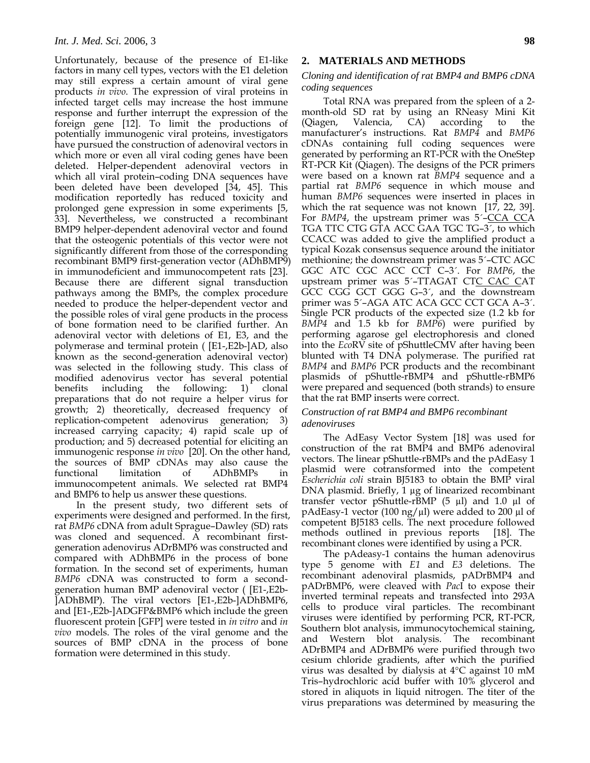Unfortunately, because of the presence of E1-like factors in many cell types, vectors with the E1 deletion may still express a certain amount of viral gene products *in vivo*. The expression of viral proteins in infected target cells may increase the host immune response and further interrupt the expression of the foreign gene [12]. To limit the productions of potentially immunogenic viral proteins, investigators have pursued the construction of adenoviral vectors in which more or even all viral coding genes have been deleted. Helper-dependent adenoviral vectors in which all viral protein–coding DNA sequences have been deleted have been developed [34, 45]. This modification reportedly has reduced toxicity and prolonged gene expression in some experiments [5, 33]. Nevertheless, we constructed a recombinant BMP9 helper-dependent adenoviral vector and found that the osteogenic potentials of this vector were not significantly different from those of the corresponding recombinant BMP9 first-generation vector (ADhBMP9) in immunodeficient and immunocompetent rats [23]. Because there are different signal transduction pathways among the BMPs, the complex procedure needed to produce the helper-dependent vector and the possible roles of viral gene products in the process of bone formation need to be clarified further. An adenoviral vector with deletions of E1, E3, and the polymerase and terminal protein ( [E1-,E2b-]AD, also known as the second-generation adenoviral vector) was selected in the following study. This class of modified adenovirus vector has several potential benefits including the following: 1) clonal preparations that do not require a helper virus for growth; 2) theoretically, decreased frequency of replication-competent adenovirus generation; 3) increased carrying capacity; 4) rapid scale up of production; and 5) decreased potential for eliciting an immunogenic response *in vivo* [20]. On the other hand, the sources of BMP cDNAs may also cause the functional limitation of ADhBMPs in immunocompetent animals. We selected rat BMP4 and BMP6 to help us answer these questions.

In the present study, two different sets of experiments were designed and performed. In the first, rat *BMP6* cDNA from adult Sprague–Dawley (SD) rats was cloned and sequenced. A recombinant firstgeneration adenovirus ADrBMP6 was constructed and compared with ADhBMP6 in the process of bone formation*.* In the second set of experiments, human *BMP6* cDNA was constructed to form a secondgeneration human BMP adenoviral vector ( [E1-,E2b- ]ADhBMP). The viral vectors [E1-,E2b-]ADhBMP6, and [E1-,E2b-]ADGFP&BMP6 which include the green fluorescent protein [GFP] were tested in *in vitro* and *in vivo* models. The roles of the viral genome and the sources of BMP cDNA in the process of bone formation were determined in this study.

## **2. MATERIALS AND METHODS**

# *Cloning and identification of rat BMP4 and BMP6 cDNA coding sequences*

Total RNA was prepared from the spleen of a 2 month-old SD rat by using an RNeasy Mini Kit (Qiagen, Valencia, CA) according to the manufacturer's instructions. Rat *BMP4* and *BMP6* cDNAs containing full coding sequences were generated by performing an RT-PCR with the OneStep RT-PCR Kit (Qiagen). The designs of the PCR primers were based on a known rat *BMP4* sequence and a partial rat *BMP6* sequence in which mouse and human *BMP6* sequences were inserted in places in which the rat sequence was not known  $[17, 22, 39]$ . For *BMP4*, the upstream primer was 5´–CCA CCA TGA TTC CTG GTA ACC GAA TGC TG–3´, to which CCACC was added to give the amplified product a typical Kozak consensus sequence around the initiator methionine; the downstream primer was 5´–CTC AGC GGC ATC CGC ACC CCT C–3´. For *BMP6*, the upstream primer was 5´–TTAGAT CTC CAC CAT GCC CGG GCT GGG G–3´, and the downstream primer was 5´–AGA ATC ACA GCC CCT GCA A–3´. Single PCR products of the expected size (1.2 kb for *BMP4* and 1.5 kb for *BMP6*) were purified by performing agarose gel electrophoresis and cloned into the *Eco*RV site of pShuttleCMV after having been blunted with T4 DNA polymerase. The purified rat *BMP4* and *BMP6* PCR products and the recombinant plasmids of pShuttle-rBMP4 and pShuttle-rBMP6 were prepared and sequenced (both strands) to ensure that the rat BMP inserts were correct.

## *Construction of rat BMP4 and BMP6 recombinant adenoviruses*

The AdEasy Vector System [18] was used for construction of the rat BMP4 and BMP6 adenoviral vectors. The linear pShuttle-rBMPs and the pAdEasy 1 plasmid were cotransformed into the competent *Escherichia coli* strain BJ5183 to obtain the BMP viral DNA plasmid. Briefly, 1 µg of linearized recombinant transfer vector pShuttle-rBMP  $(5 \mu l)$  and  $1.0 \mu l$  of pAdEasy-1 vector (100 ng/µl) were added to 200 µl of competent BJ5183 cells. The next procedure followed methods outlined in previous reports [18]. The recombinant clones were identified by using a PCR.

The pAdeasy-1 contains the human adenovirus type 5 genome with *E1* and *E3* deletions. The recombinant adenoviral plasmids, pADrBMP4 and pADrBMP6, were cleaved with *Pac*I to expose their inverted terminal repeats and transfected into 293A cells to produce viral particles. The recombinant viruses were identified by performing PCR, RT-PCR, Southern blot analysis, immunocytochemical staining, and Western blot analysis. The recombinant ADrBMP4 and ADrBMP6 were purified through two cesium chloride gradients, after which the purified virus was desalted by dialysis at 4°C against 10 mM Tris–hydrochloric acid buffer with 10% glycerol and stored in aliquots in liquid nitrogen. The titer of the virus preparations was determined by measuring the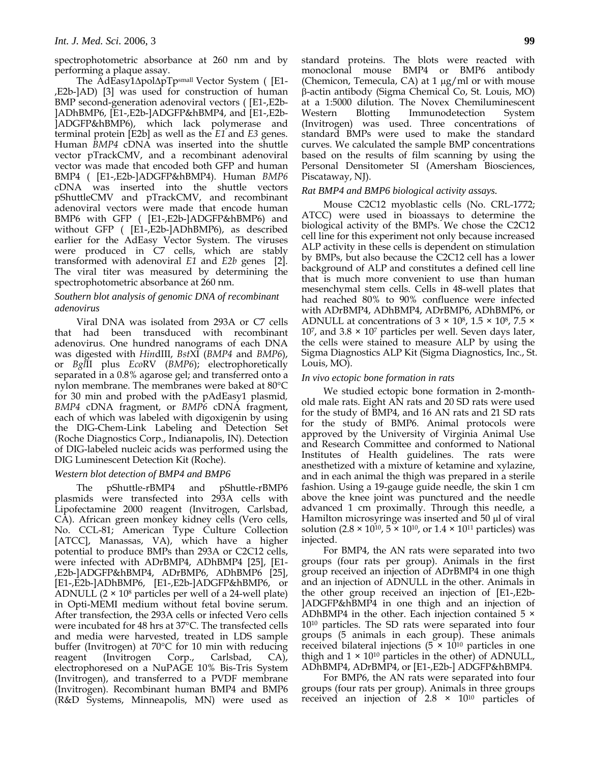spectrophotometric absorbance at 260 nm and by performing a plaque assay.

The AdEasy1ΔpolΔpTpsmall Vector System ( [E1- ,E2b-]AD) [3] was used for construction of human BMP second-generation adenoviral vectors ( [E1-,E2b- ]ADhBMP6, [E1-,E2b-]ADGFP&hBMP4, and [E1-,E2b- ]ADGFP&hBMP6), which lack polymerase and terminal protein [E2b] as well as the *E1* and *E3* genes. Human *BMP4* cDNA was inserted into the shuttle vector pTrackCMV, and a recombinant adenoviral vector was made that encoded both GFP and human BMP4 ( [E1-,E2b-]ADGFP&hBMP4). Human *BMP6* cDNA was inserted into the shuttle vectors pShuttleCMV and pTrackCMV, and recombinant adenoviral vectors were made that encode human BMP6 with GFP ( [E1-,E2b-]ADGFP&hBMP6) and without GFP ( [E1-,E2b-]ADhBMP6), as described earlier for the AdEasy Vector System. The viruses were produced in C7 cells, which are stably transformed with adenoviral *E1* and *E2b* genes [2]. The viral titer was measured by determining the spectrophotometric absorbance at 260 nm.

## *Southern blot analysis of genomic DNA of recombinant adenovirus*

Viral DNA was isolated from 293A or C7 cells that had been transduced with recombinant adenovirus. One hundred nanograms of each DNA was digested with *Hin*dIII, *Bst*XI (*BMP4* and *BMP6*), or *Bgl*II plus *Eco*RV (*BMP6*); electrophoretically separated in a 0.8% agarose gel; and transferred onto a nylon membrane. The membranes were baked at 80°C for 30 min and probed with the pAdEasy1 plasmid*, BMP4* cDNA fragment, or *BMP6* cDNA fragment, each of which was labeled with digoxigenin by using the DIG-Chem-Link Labeling and Detection Set (Roche Diagnostics Corp., Indianapolis, IN). Detection of DIG-labeled nucleic acids was performed using the DIG Luminescent Detection Kit (Roche).

# *Western blot detection of BMP4 and BMP6*

The pShuttle-rBMP4 and pShuttle-rBMP6 plasmids were transfected into 293A cells with Lipofectamine 2000 reagent (Invitrogen, Carlsbad, CA). African green monkey kidney cells (Vero cells, No. CCL-81; American Type Culture Collection [ATCC], Manassas, VA), which have a higher potential to produce BMPs than 293A or C2C12 cells, were infected with ADrBMP4, ADhBMP4 [25], [E1- ,E2b-]ADGFP&hBMP4, ADrBMP6, ADhBMP6 [25], [E1-,E2b-]ADhBMP6, [E1-,E2b-]ADGFP&hBMP6, or ADNULL  $(2 \times 10^8$  particles per well of a 24-well plate) in Opti-MEMI medium without fetal bovine serum. After transfection, the 293A cells or infected Vero cells were incubated for 48 hrs at 37°C. The transfected cells and media were harvested, treated in LDS sample buffer (Invitrogen) at 70°C for 10 min with reducing reagent (Invitrogen Corp., Carlsbad, CA), electrophoresed on a NuPAGE 10% Bis-Tris System (Invitrogen), and transferred to a PVDF membrane (Invitrogen). Recombinant human BMP4 and BMP6 (R&D Systems, Minneapolis, MN) were used as standard proteins. The blots were reacted with monoclonal mouse BMP4 or BMP6 antibody (Chemicon, Temecula, CA) at 1 μg/ml or with mouse β-actin antibody (Sigma Chemical Co, St. Louis, MO) at a 1:5000 dilution. The Novex Chemiluminescent Western Blotting Immunodetection System (Invitrogen) was used. Three concentrations of standard BMPs were used to make the standard curves. We calculated the sample BMP concentrations based on the results of film scanning by using the Personal Densitometer SI (Amersham Biosciences, Piscataway, NJ).

# *Rat BMP4 and BMP6 biological activity assays.*

Mouse C2C12 myoblastic cells (No. CRL-1772; ATCC) were used in bioassays to determine the biological activity of the BMPs. We chose the C2C12 cell line for this experiment not only because increased ALP activity in these cells is dependent on stimulation by BMPs, but also because the C2C12 cell has a lower background of ALP and constitutes a defined cell line that is much more convenient to use than human mesenchymal stem cells. Cells in 48-well plates that had reached 80% to 90% confluence were infected with ADrBMP4, ADhBMP4, ADrBMP6, ADhBMP6, or ADNULL at concentrations of  $3 \times 10^8$ ,  $1.5 \times 10^8$ ,  $7.5 \times$  $10<sup>7</sup>$ , and  $3.8 \times 10<sup>7</sup>$  particles per well. Seven days later, the cells were stained to measure ALP by using the Sigma Diagnostics ALP Kit (Sigma Diagnostics, Inc., St. Louis, MO).

# *In vivo ectopic bone formation in rats*

We studied ectopic bone formation in 2-monthold male rats. Eight AN rats and 20 SD rats were used for the study of BMP4, and 16 AN rats and 21 SD rats for the study of BMP6. Animal protocols were approved by the University of Virginia Animal Use and Research Committee and conformed to National Institutes of Health guidelines. The rats were anesthetized with a mixture of ketamine and xylazine, and in each animal the thigh was prepared in a sterile fashion. Using a 19-gauge guide needle, the skin 1 cm above the knee joint was punctured and the needle advanced 1 cm proximally. Through this needle, a Hamilton microsyringe was inserted and 50 μl of viral solution (2.8  $\times$  10<sup>10</sup>, 5  $\times$  10<sup>10</sup>, or 1.4  $\times$  10<sup>11</sup> particles) was injected.

For BMP4, the AN rats were separated into two groups (four rats per group). Animals in the first group received an injection of ADrBMP4 in one thigh and an injection of ADNULL in the other. Animals in the other group received an injection of [E1-,E2b- ]ADGFP&hBMP4 in one thigh and an injection of ADhBMP4 in the other. Each injection contained  $5 \times$ 1010 particles. The SD rats were separated into four groups (5 animals in each group). These animals received bilateral injections ( $5 \times 10^{10}$  particles in one thigh and  $1 \times 10^{10}$  particles in the other) of ADNULL, ADhBMP4, ADrBMP4, or [E1-,E2b-] ADGFP&hBMP4.

For BMP6, the AN rats were separated into four groups (four rats per group). Animals in three groups received an injection of  $2.8 \times 10^{10}$  particles of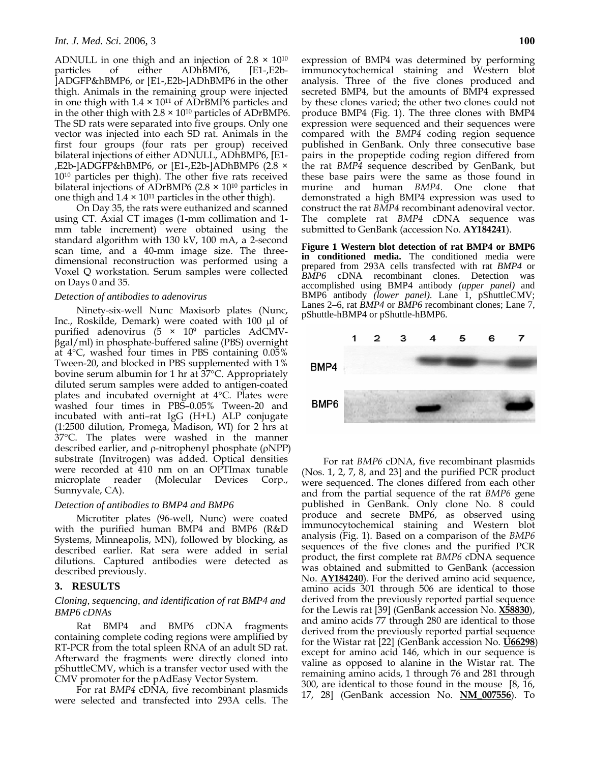ADNULL in one thigh and an injection of  $2.8 \times 10^{10}$ particles of either ADhBMP6, [E1-,E2b- ]ADGFP&hBMP6, or [E1-,E2b-]ADhBMP6 in the other thigh. Animals in the remaining group were injected in one thigh with  $1.4 \times 10^{11}$  of ADrBMP6 particles and in the other thigh with  $2.8 \times 10^{10}$  particles of ADrBMP6. The SD rats were separated into five groups. Only one vector was injected into each SD rat. Animals in the first four groups (four rats per group) received bilateral injections of either ADNULL, ADhBMP6, [E1- ,E2b-]ADGFP&hBMP6, or [E1-,E2b-]ADhBMP6 (2.8 × 1010 particles per thigh). The other five rats received bilateral injections of ADrBMP6 ( $2.8 \times 10^{10}$  particles in one thigh and  $1.4 \times 10^{11}$  particles in the other thigh).

On Day 35, the rats were euthanized and scanned using CT. Axial CT images (1-mm collimation and 1 mm table increment) were obtained using the standard algorithm with 130 kV, 100 mA, a 2-second scan time, and a 40-mm image size. The threedimensional reconstruction was performed using a Voxel Q workstation. Serum samples were collected on Days 0 and 35.

#### *Detection of antibodies to adenovirus*

Ninety-six-well Nunc Maxisorb plates (Nunc, Inc., Roskilde, Demark) were coated with 100 μl of purified adenovirus (5 × 109 particles AdCMVβgal/ml) in phosphate-buffered saline (PBS) overnight at 4°C, washed four times in PBS containing 0.05% Tween-20, and blocked in PBS supplemented with 1% bovine serum albumin for 1 hr at 37°C. Appropriately diluted serum samples were added to antigen-coated plates and incubated overnight at 4°C. Plates were washed four times in PBS–0.05% Tween-20 and incubated with anti–rat IgG (H+L) ALP conjugate (1:2500 dilution, Promega, Madison, WI) for 2 hrs at 37°C. The plates were washed in the manner described earlier, and ρ-nitrophenyl phosphate (ρNPP) substrate (Invitrogen) was added. Optical densities were recorded at 410 nm on an OPTImax tunable microplate reader (Molecular Devices Corp., Sunnyvale, CA).

#### *Detection of antibodies to BMP4 and BMP6*

Microtiter plates (96-well, Nunc) were coated with the purified human BMP4 and BMP6 (R&D Systems, Minneapolis, MN), followed by blocking, as described earlier. Rat sera were added in serial dilutions. Captured antibodies were detected as described previously.

# **3. RESULTS**

# *Cloning, sequencing, and identification of rat BMP4 and BMP6 cDNAs*

Rat BMP4 and BMP6 cDNA fragments containing complete coding regions were amplified by RT-PCR from the total spleen RNA of an adult SD rat. Afterward the fragments were directly cloned into pShuttleCMV, which is a transfer vector used with the CMV promoter for the pAdEasy Vector System.

For rat *BMP4* cDNA, five recombinant plasmids were selected and transfected into 293A cells. The expression of BMP4 was determined by performing immunocytochemical staining and Western blot analysis. Three of the five clones produced and secreted BMP4, but the amounts of BMP4 expressed by these clones varied; the other two clones could not produce BMP4 (Fig. 1). The three clones with BMP4 expression were sequenced and their sequences were compared with the *BMP4* coding region sequence published in GenBank. Only three consecutive base pairs in the propeptide coding region differed from the rat *BMP4* sequence described by GenBank, but these base pairs were the same as those found in murine and human *BMP4*. One clone that demonstrated a high BMP4 expression was used to construct the rat *BMP4* recombinant adenoviral vector. The complete rat *BMP4* cDNA sequence was submitted to GenBank (accession No. **AY184241**).

**Figure 1 Western blot detection of rat BMP4 or BMP6 in conditioned media.** The conditioned media were prepared from 293A cells transfected with rat *BMP4* or *BMP6* cDNA recombinant clones. Detection was accomplished using BMP4 antibody *(upper panel)* and BMP6 antibody *(lower panel)*. Lane 1, pShuttleCMV; Lanes 2–6, rat *BMP4* or *BMP6* recombinant clones; Lane 7, pShuttle-hBMP4 or pShuttle-hBMP6.



For rat *BMP6* cDNA, five recombinant plasmids (Nos. 1, 2, 7, 8, and 23] and the purified PCR product were sequenced. The clones differed from each other and from the partial sequence of the rat *BMP6* gene published in GenBank. Only clone No. 8 could produce and secrete BMP6, as observed using immunocytochemical staining and Western blot analysis (Fig. 1). Based on a comparison of the *BMP6* sequences of the five clones and the purified PCR product, the first complete rat *BMP6* cDNA sequence was obtained and submitted to GenBank (accession No. **AY184240**). For the derived amino acid sequence, amino acids 301 through 506 are identical to those derived from the previously reported partial sequence for the Lewis rat [39] (GenBank accession No. **X58830**), and amino acids 77 through 280 are identical to those derived from the previously reported partial sequence for the Wistar rat [22] (GenBank accession No. **U66298**) except for amino acid 146, which in our sequence is valine as opposed to alanine in the Wistar rat. The remaining amino acids, 1 through 76 and 281 through 300, are identical to those found in the mouse [8, 16, 17, 28] (GenBank accession No. **NM\_007556**). To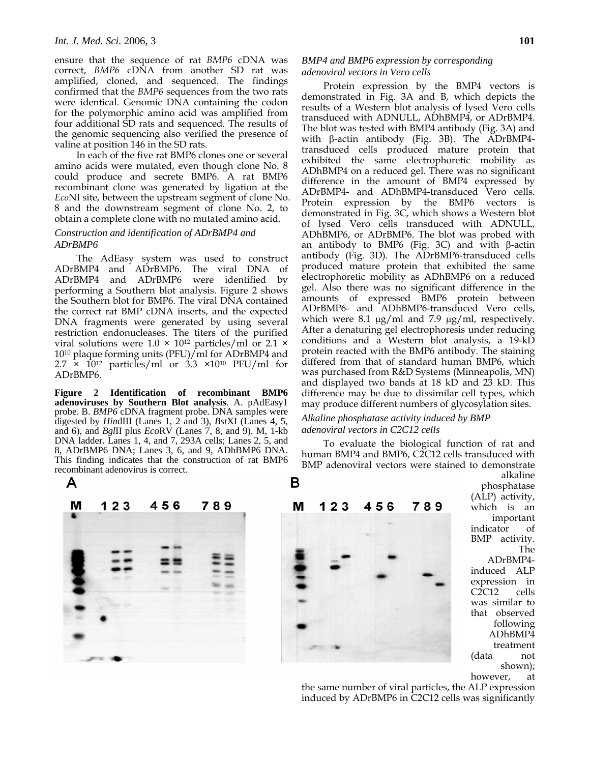ensure that the sequence of rat *BMP6* cDNA was correct, *BMP6* cDNA from another SD rat was amplified, cloned, and sequenced. The findings confirmed that the *BMP6* sequences from the two rats were identical. Genomic DNA containing the codon for the polymorphic amino acid was amplified from four additional SD rats and sequenced. The results of the genomic sequencing also verified the presence of valine at position 146 in the SD rats.

In each of the five rat BMP6 clones one or several amino acids were mutated, even though clone No. 8 could produce and secrete BMP6. A rat BMP6 recombinant clone was generated by ligation at the *Eco*NI site, between the upstream segment of clone No. 8 and the downstream segment of clone No. 2, to obtain a complete clone with no mutated amino acid.

## *Construction and identification of ADrBMP4 and ADrBMP6*

The AdEasy system was used to construct ADrBMP4 and ADrBMP6. The viral DNA of ADrBMP4 and ADrBMP6 were identified by performing a Southern blot analysis. Figure 2 shows the Southern blot for BMP6. The viral DNA contained the correct rat BMP cDNA inserts, and the expected DNA fragments were generated by using several restriction endonucleases. The titers of the purified viral solutions were  $1.0 \times 10^{12}$  particles/ml or  $2.1 \times$ 1010 plaque forming units (PFU)/ml for ADrBMP4 and  $2.7 \times 10^{12}$  particles/ml or 3.3 ×10<sup>10</sup> PFU/ml for ADrBMP6.

**Figure 2 Identification of recombinant BMP6 adenoviruses by Southern Blot analysis**. A. pAdEasy1 probe. B. *BMP6* cDNA fragment probe. DNA samples were digested by *Hin*dIII (Lanes 1, 2 and 3), *Bst*XI (Lanes 4, 5, and 6), and *Bgl*II plus *Eco*RV (Lanes 7, 8, and 9). M, 1-kb DNA ladder. Lanes 1, 4, and 7, 293A cells; Lanes 2, 5, and 8, ADrBMP6 DNA; Lanes 3, 6, and 9, ADhBMP6 DNA. This finding indicates that the construction of rat BMP6 recombinant adenovirus is correct.

# *BMP4 and BMP6 expression by corresponding adenoviral vectors in Vero cells*

Protein expression by the BMP4 vectors is demonstrated in Fig. 3A and B, which depicts the results of a Western blot analysis of lysed Vero cells transduced with ADNULL, ADhBMP4, or ADrBMP4. The blot was tested with BMP4 antibody (Fig. 3A) and with β-actin antibody (Fig. 3B). The ADrBMP4 transduced cells produced mature protein that exhibited the same electrophoretic mobility as ADhBMP4 on a reduced gel. There was no significant difference in the amount of BMP4 expressed by ADrBMP4- and ADhBMP4-transduced Vero cells. Protein expression by the BMP6 vectors is demonstrated in Fig. 3C, which shows a Western blot of lysed Vero cells transduced with ADNULL, ADhBMP6, or ADrBMP6. The blot was probed with an antibody to BMP6 (Fig. 3C) and with β-actin antibody (Fig. 3D). The ADrBMP6-transduced cells produced mature protein that exhibited the same electrophoretic mobility as ADhBMP6 on a reduced gel. Also there was no significant difference in the amounts of expressed BMP6 protein between ADrBMP6- and ADhBMP6-transduced Vero cells, which were 8.1  $\mu$ g/ml and 7.9  $\mu$ g/ml, respectively. After a denaturing gel electrophoresis under reducing conditions and a Western blot analysis, a 19-kD protein reacted with the BMP6 antibody. The staining differed from that of standard human BMP6, which was purchased from R&D Systems (Minneapolis, MN) and displayed two bands at 18 kD and 23 kD. This difference may be due to dissimilar cell types, which may produce different numbers of glycosylation sites.

# *Alkaline phosphatase activity induced by BMP adenoviral vectors in C2C12 cells*

To evaluate the biological function of rat and human BMP4 and BMP6, C2C12 cells transduced with BMP adenoviral vectors were stained to demonstrate



(ALP) activity, which is an important indicator of BMP activity. The ADrBMP4 induced ALP expression in C2C12 cells was similar to that observed following ADhBMP4 treatment (data not shown); however, at

alkaline phosphatase

the same number of viral particles, the ALP expression induced by ADrBMP6 in C2C12 cells was significantly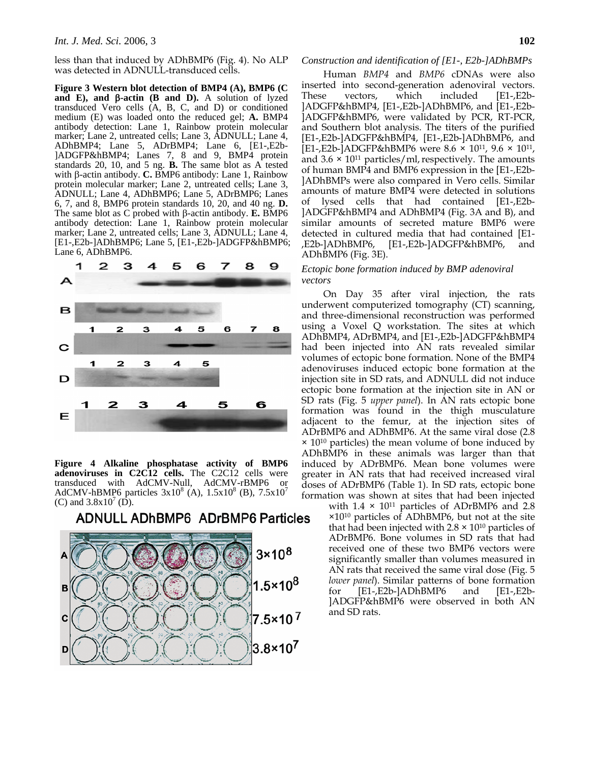less than that induced by ADhBMP6 (Fig. 4). No ALP was detected in ADNULL-transduced cells.

**Figure 3 Western blot detection of BMP4 (A), BMP6 (C and E), and** β**-actin (B and D).** A solution of lyzed transduced Vero cells (A, B, C, and D) or conditioned medium (E) was loaded onto the reduced gel; **A.** BMP4 antibody detection: Lane 1, Rainbow protein molecular marker; Lane 2, untreated cells; Lane 3, ADNULL; Lane 4, ADhBMP4; Lane 5, ADrBMP4; Lane 6, [E1-,E2b- ]ADGFP&hBMP4; Lanes 7, 8 and 9, BMP4 protein standards 20, 10, and 5 ng. **B.** The same blot as A tested with β-actin antibody. **C.** BMP6 antibody: Lane 1, Rainbow protein molecular marker; Lane 2, untreated cells; Lane 3, ADNULL; Lane 4, ADhBMP6; Lane 5, ADrBMP6; Lanes 6, 7, and 8, BMP6 protein standards 10, 20, and 40 ng. **D.** The same blot as C probed with β-actin antibody. **E.** BMP6 antibody detection: Lane 1, Rainbow protein molecular marker; Lane 2, untreated cells; Lane 3, ADNULL; Lane 4, [E1-,E2b-]ADhBMP6; Lane 5, [E1-,E2b-]ADGFP&hBMP6; Lane 6, ADhBMP6.



**Figure 4 Alkaline phosphatase activity of BMP6 adenoviruses in C2C12 cells.** The C2C12 cells were transduced with AdCMV-Null, AdCMV-rBMP6 or AdCMV-hBMP6 particles  $3x10^8$  (A),  $1.5x10^8$  (B),  $7.5x10^7$ (C) and  $3.8x10^7$  (D).

**ADNULL ADhBMP6 ADrBMP6 Particles** 



#### *Construction and identification of [E1-, E2b-]ADhBMPs*

Human *BMP4* and *BMP6* cDNAs were also inserted into second-generation adenoviral vectors. These vectors, which included [E1-,E2b- ]ADGFP&hBMP4, [E1-,E2b-]ADhBMP6, and [E1-,E2b- ]ADGFP&hBMP6, were validated by PCR, RT-PCR, and Southern blot analysis. The titers of the purified [E1-,E2b-]ADGFP&hBMP4, [E1-,E2b-]ADhBMP6, and [E1-,E2b-]ADGFP&hBMP6 were 8.6 × 1011, 9.6 × 1011, and  $3.6 \times 10^{11}$  particles/ml, respectively. The amounts of human BMP4 and BMP6 expression in the [E1-,E2b- ]ADhBMPs were also compared in Vero cells. Similar amounts of mature BMP4 were detected in solutions of lysed cells that had contained [E1-,E2b- ]ADGFP&hBMP4 and ADhBMP4 (Fig. 3A and B), and similar amounts of secreted mature BMP6 were detected in cultured media that had contained [E1- ,E2b-]ADhBMP6, [E1-,E2b-]ADGFP&hBMP6, and ADhBMP6 (Fig. 3E).

## *Ectopic bone formation induced by BMP adenoviral vectors*

On Day 35 after viral injection, the rats underwent computerized tomography (CT) scanning, and three-dimensional reconstruction was performed using a Voxel Q workstation. The sites at which ADhBMP4, ADrBMP4, and [E1-,E2b-]ADGFP&hBMP4 had been injected into AN rats revealed similar volumes of ectopic bone formation. None of the BMP4 adenoviruses induced ectopic bone formation at the injection site in SD rats, and ADNULL did not induce ectopic bone formation at the injection site in AN or SD rats (Fig. 5 *upper panel*). In AN rats ectopic bone formation was found in the thigh musculature adjacent to the femur, at the injection sites of ADrBMP6 and ADhBMP6. At the same viral dose (2.8  $\times$  10<sup>10</sup> particles) the mean volume of bone induced by ADhBMP6 in these animals was larger than that induced by ADrBMP6. Mean bone volumes were greater in AN rats that had received increased viral doses of ADrBMP6 (Table 1). In SD rats, ectopic bone formation was shown at sites that had been injected

> with  $1.4 \times 10^{11}$  particles of ADrBMP6 and 2.8 ×1010 particles of ADhBMP6, but not at the site that had been injected with  $2.8 \times 10^{10}$  particles of ADrBMP6. Bone volumes in SD rats that had received one of these two BMP6 vectors were significantly smaller than volumes measured in AN rats that received the same viral dose (Fig. 5 *lower panel*). Similar patterns of bone formation for [E1-,E2b-]ADhBMP6 and [E1-,E2b- ]ADGFP&hBMP6 were observed in both AN and SD rats.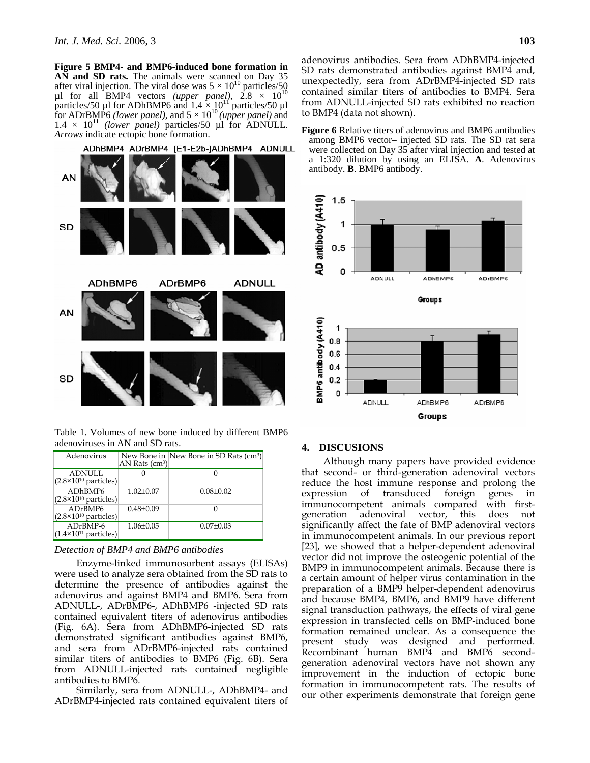**Figure 5 BMP4- and BMP6-induced bone formation in AN and SD rats.** The animals were scanned on Day 35 after viral injection. The viral dose was  $5 \times 10^{10}$  particles/50  $\mu$ l for all BMP4 vectors *(upper panel)*, 2.8  $\times$  10<sup>10</sup> particles/50 µl for ADhBMP6 and  $1.4 \times 10^{11}$  particles/50 µl for ADrBMP6 *(lower panel)*, and  $5 \times 10^{10}$  *(upper panel)* and  $1.4 \times 10^{11}$  *(lower panel)* particles/50 µl for ADNULL. *Arrows* indicate ectopic bone formation.



Table 1. Volumes of new bone induced by different BMP6 adenoviruses in AN and SD rats.

| Adenovirus                                      | AN Rats $(cm3)$ | New Bone in New Bone in SD Rats (cm <sup>3</sup> ) |
|-------------------------------------------------|-----------------|----------------------------------------------------|
| <b>ADNULL</b><br>$(2.8\times10^{10}$ particles) |                 |                                                    |
| ADhBMP6<br>$(2.8\times10^{10}$ particles)       | $1.02 + 0.07$   | $0.08 + 0.02$                                      |
| ADrBMP6<br>$(2.8\times10^{10}$ particles)       | $0.48 \pm 0.09$ |                                                    |
| $ADrBMP-6$<br>$(1.4\times10^{11}$ particles)    | $1.06 \pm 0.05$ | $0.07 \pm 0.03$                                    |

#### *Detection of BMP4 and BMP6 antibodies*

Enzyme-linked immunosorbent assays (ELISAs) were used to analyze sera obtained from the SD rats to determine the presence of antibodies against the adenovirus and against BMP4 and BMP6. Sera from ADNULL-, ADrBMP6-, ADhBMP6 -injected SD rats contained equivalent titers of adenovirus antibodies (Fig. 6A). Sera from ADhBMP6-injected SD rats demonstrated significant antibodies against BMP6, and sera from ADrBMP6-injected rats contained similar titers of antibodies to BMP6 (Fig. 6B). Sera from ADNULL-injected rats contained negligible antibodies to BMP6.

Similarly, sera from ADNULL-, ADhBMP4- and ADrBMP4-injected rats contained equivalent titers of adenovirus antibodies. Sera from ADhBMP4-injected SD rats demonstrated antibodies against BMP4 and, unexpectedly, sera from ADrBMP4-injected SD rats contained similar titers of antibodies to BMP4. Sera from ADNULL-injected SD rats exhibited no reaction to BMP4 (data not shown).





#### **4. DISCUSIONS**

Although many papers have provided evidence that second- or third-generation adenoviral vectors reduce the host immune response and prolong the expression of transduced foreign genes in immunocompetent animals compared with firstgeneration adenoviral vector, this does not significantly affect the fate of BMP adenoviral vectors in immunocompetent animals. In our previous report [23], we showed that a helper-dependent adenoviral vector did not improve the osteogenic potential of the BMP9 in immunocompetent animals. Because there is a certain amount of helper virus contamination in the preparation of a BMP9 helper-dependent adenovirus and because BMP4, BMP6, and BMP9 have different signal transduction pathways, the effects of viral gene expression in transfected cells on BMP-induced bone formation remained unclear. As a consequence the present study was designed and performed. Recombinant human BMP4 and BMP6 secondgeneration adenoviral vectors have not shown any improvement in the induction of ectopic bone formation in immunocompetent rats. The results of our other experiments demonstrate that foreign gene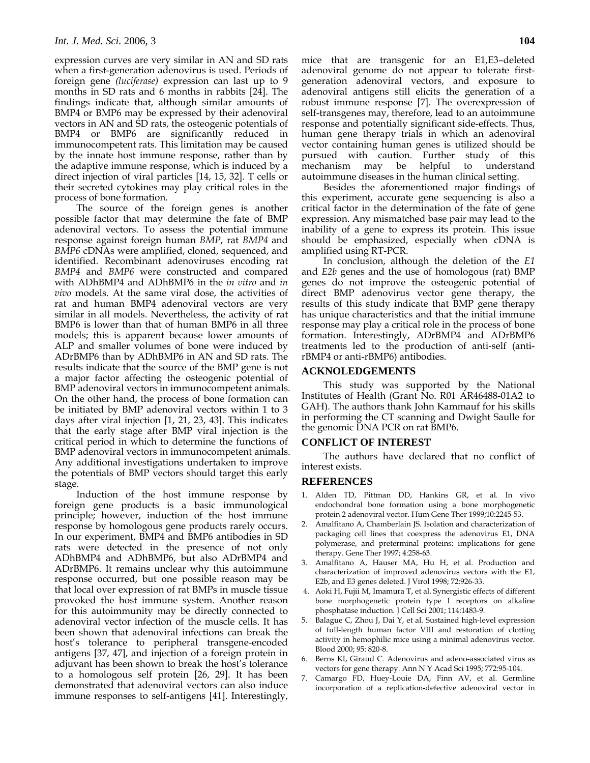expression curves are very similar in AN and SD rats when a first-generation adenovirus is used. Periods of foreign gene *(luciferase)* expression can last up to 9 months in SD rats and 6 months in rabbits [24]. The findings indicate that, although similar amounts of BMP4 or BMP6 may be expressed by their adenoviral vectors in AN and SD rats, the osteogenic potentials of BMP4 or BMP6 are significantly reduced in immunocompetent rats. This limitation may be caused by the innate host immune response, rather than by the adaptive immune response, which is induced by a direct injection of viral particles [14, 15, 32]. T cells or their secreted cytokines may play critical roles in the process of bone formation.

The source of the foreign genes is another possible factor that may determine the fate of BMP adenoviral vectors. To assess the potential immune response against foreign human *BMP*, rat *BMP4* and *BMP6* cDNAs were amplified, cloned, sequenced, and identified. Recombinant adenoviruses encoding rat *BMP4* and *BMP6* were constructed and compared with ADhBMP4 and ADhBMP6 in the *in vitro* and *in vivo* models. At the same viral dose, the activities of rat and human BMP4 adenoviral vectors are very similar in all models. Nevertheless, the activity of rat BMP6 is lower than that of human BMP6 in all three models; this is apparent because lower amounts of ALP and smaller volumes of bone were induced by ADrBMP6 than by ADhBMP6 in AN and SD rats. The results indicate that the source of the BMP gene is not a major factor affecting the osteogenic potential of BMP adenoviral vectors in immunocompetent animals. On the other hand, the process of bone formation can be initiated by BMP adenoviral vectors within 1 to 3 days after viral injection [1, 21, 23, 43]. This indicates that the early stage after BMP viral injection is the critical period in which to determine the functions of BMP adenoviral vectors in immunocompetent animals. Any additional investigations undertaken to improve the potentials of BMP vectors should target this early stage.

Induction of the host immune response by foreign gene products is a basic immunological principle; however, induction of the host immune response by homologous gene products rarely occurs. In our experiment, BMP4 and BMP6 antibodies in SD rats were detected in the presence of not only ADhBMP4 and ADhBMP6, but also ADrBMP4 and ADrBMP6. It remains unclear why this autoimmune response occurred, but one possible reason may be that local over expression of rat BMPs in muscle tissue provoked the host immune system. Another reason for this autoimmunity may be directly connected to adenoviral vector infection of the muscle cells. It has been shown that adenoviral infections can break the host's tolerance to peripheral transgene-encoded antigens [37, 47], and injection of a foreign protein in adjuvant has been shown to break the host's tolerance to a homologous self protein [26, 29]. It has been demonstrated that adenoviral vectors can also induce immune responses to self-antigens [41]. Interestingly,

mice that are transgenic for an E1,E3–deleted adenoviral genome do not appear to tolerate firstgeneration adenoviral vectors, and exposure to adenoviral antigens still elicits the generation of a robust immune response [7]. The overexpression of self-transgenes may, therefore, lead to an autoimmune response and potentially significant side-effects. Thus, human gene therapy trials in which an adenoviral vector containing human genes is utilized should be pursued with caution. Further study of this mechanism may be helpful to understand autoimmune diseases in the human clinical setting.

Besides the aforementioned major findings of this experiment, accurate gene sequencing is also a critical factor in the determination of the fate of gene expression. Any mismatched base pair may lead to the inability of a gene to express its protein. This issue should be emphasized, especially when cDNA is amplified using RT-PCR.

In conclusion, although the deletion of the *E1* and *E2b* genes and the use of homologous (rat) BMP genes do not improve the osteogenic potential of direct BMP adenovirus vector gene therapy, the results of this study indicate that BMP gene therapy has unique characteristics and that the initial immune response may play a critical role in the process of bone formation. Interestingly, ADrBMP4 and ADrBMP6 treatments led to the production of anti-self (antirBMP4 or anti-rBMP6) antibodies.

### **ACKNOLEDGEMENTS**

This study was supported by the National Institutes of Health (Grant No. R01 AR46488-01A2 to GAH). The authors thank John Kammauf for his skills in performing the CT scanning and Dwight Saulle for the genomic DNA PCR on rat BMP6.

#### **CONFLICT OF INTEREST**

The authors have declared that no conflict of interest exists.

#### **REFERENCES**

- 1. Alden TD, Pittman DD, Hankins GR, et al. In vivo endochondral bone formation using a bone morphogenetic protein 2 adenoviral vector. Hum Gene Ther 1999;10:2245-53.
- 2. Amalfitano A, Chamberlain JS. Isolation and characterization of packaging cell lines that coexpress the adenovirus E1, DNA polymerase, and preterminal proteins: implications for gene therapy. Gene Ther 1997; 4:258-63.
- 3. Amalfitano A, Hauser MA, Hu H, et al. Production and characterization of improved adenovirus vectors with the E1, E2b, and E3 genes deleted. J Virol 1998; 72:926-33.
- 4. Aoki H, Fujii M, Imamura T, et al. Synergistic effects of different bone morphogenetic protein type I receptors on alkaline phosphatase induction. J Cell Sci 2001; 114:1483-9.
- 5. Balague C, Zhou J, Dai Y, et al. Sustained high-level expression of full-length human factor VIII and restoration of clotting activity in hemophilic mice using a minimal adenovirus vector. Blood 2000; 95: 820-8.
- 6. Berns KI, Giraud C. Adenovirus and adeno-associated virus as vectors for gene therapy. Ann N Y Acad Sci 1995; 772:95-104.
- 7. Camargo FD, Huey-Louie DA, Finn AV, et al. Germline incorporation of a replication-defective adenoviral vector in